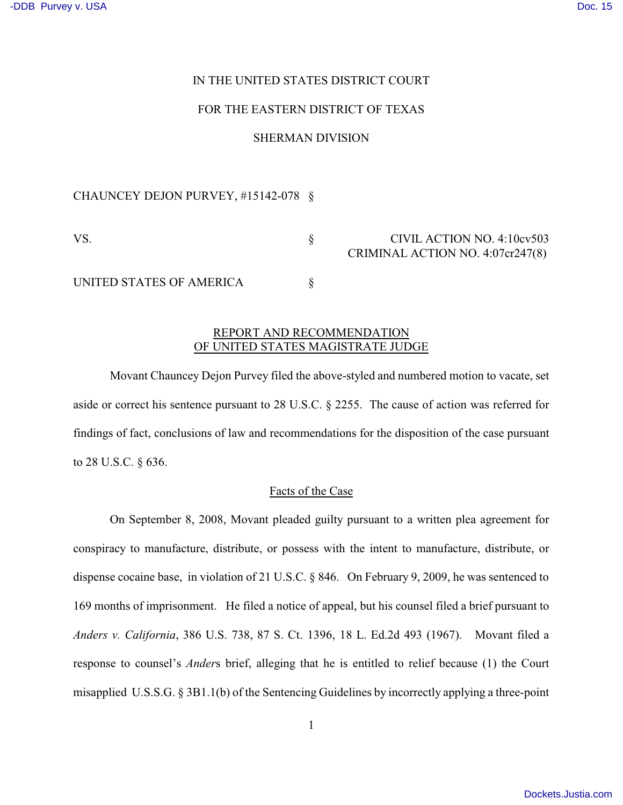### IN THE UNITED STATES DISTRICT COURT

#### FOR THE EASTERN DISTRICT OF TEXAS

#### SHERMAN DIVISION

### CHAUNCEY DEJON PURVEY, #15142-078 §

## VS. S CIVIL ACTION NO. 4:10cv503 CRIMINAL ACTION NO. 4:07cr247(8)

UNITED STATES OF AMERICA  $\S$ 

# REPORT AND RECOMMENDATION OF UNITED STATES MAGISTRATE JUDGE

Movant Chauncey Dejon Purvey filed the above-styled and numbered motion to vacate, set aside or correct his sentence pursuant to 28 U.S.C. § 2255. The cause of action was referred for findings of fact, conclusions of law and recommendations for the disposition of the case pursuant to 28 U.S.C. § 636.

### Facts of the Case

On September 8, 2008, Movant pleaded guilty pursuant to a written plea agreement for conspiracy to manufacture, distribute, or possess with the intent to manufacture, distribute, or dispense cocaine base, in violation of 21 U.S.C. § 846. On February 9, 2009, he was sentenced to 169 months of imprisonment. He filed a notice of appeal, but his counsel filed a brief pursuant to *Anders v. California*, 386 U.S. 738, 87 S. Ct. 1396, 18 L. Ed.2d 493 (1967). Movant filed a response to counsel's *Ander*s brief, alleging that he is entitled to relief because (1) the Court misapplied U.S.S.G. § 3B1.1(b) of the Sentencing Guidelines by incorrectly applying a three-point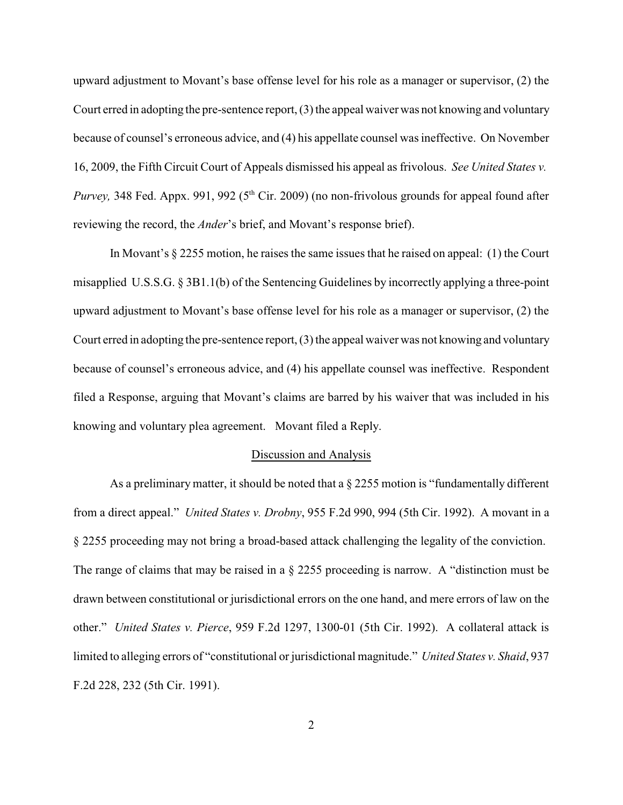upward adjustment to Movant's base offense level for his role as a manager or supervisor, (2) the Court erred in adopting the pre-sentence report, (3) the appeal waiver was not knowing and voluntary because of counsel's erroneous advice, and (4) his appellate counsel was ineffective. On November 16, 2009, the Fifth Circuit Court of Appeals dismissed his appeal as frivolous. *See United States v. Purvey*, 348 Fed. Appx. 991, 992 (5<sup>th</sup> Cir. 2009) (no non-frivolous grounds for appeal found after reviewing the record, the *Ander*'s brief, and Movant's response brief).

In Movant's § 2255 motion, he raises the same issues that he raised on appeal: (1) the Court misapplied U.S.S.G. § 3B1.1(b) of the Sentencing Guidelines by incorrectly applying a three-point upward adjustment to Movant's base offense level for his role as a manager or supervisor, (2) the Court erred in adopting the pre-sentence report, (3) the appeal waiver was not knowing and voluntary because of counsel's erroneous advice, and (4) his appellate counsel was ineffective. Respondent filed a Response, arguing that Movant's claims are barred by his waiver that was included in his knowing and voluntary plea agreement. Movant filed a Reply.

### Discussion and Analysis

As a preliminary matter, it should be noted that a  $\S 2255$  motion is "fundamentally different from a direct appeal." *United States v. Drobny*, 955 F.2d 990, 994 (5th Cir. 1992). A movant in a § 2255 proceeding may not bring a broad-based attack challenging the legality of the conviction. The range of claims that may be raised in a § 2255 proceeding is narrow. A "distinction must be drawn between constitutional or jurisdictional errors on the one hand, and mere errors of law on the other." *United States v. Pierce*, 959 F.2d 1297, 1300-01 (5th Cir. 1992). A collateral attack is limited to alleging errors of "constitutional or jurisdictional magnitude." *United States v. Shaid*, 937 F.2d 228, 232 (5th Cir. 1991).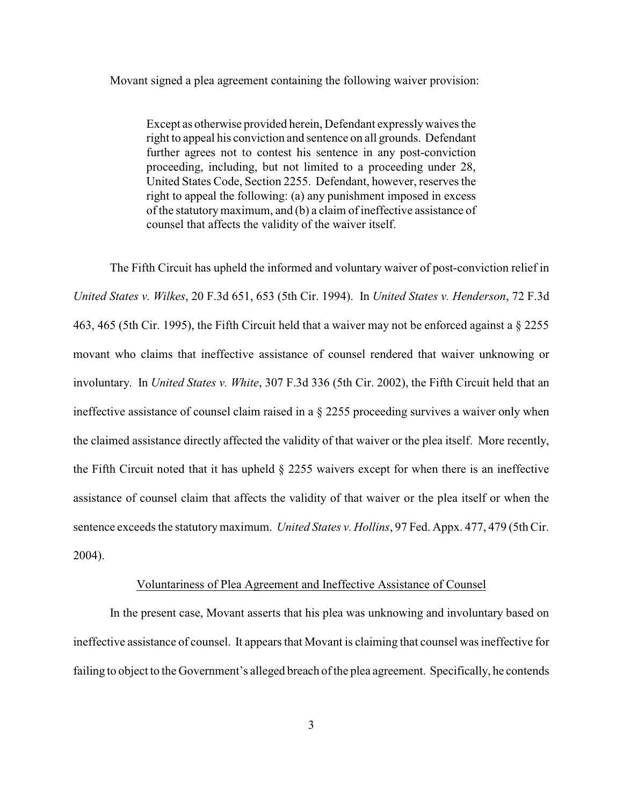Movant signed a plea agreement containing the following waiver provision:

Except as otherwise provided herein, Defendant expressly waives the right to appeal his conviction and sentence on all grounds. Defendant further agrees not to contest his sentence in any post-conviction proceeding, including, but not limited to a proceeding under 28, United States Code, Section 2255. Defendant, however, reserves the right to appeal the following: (a) any punishment imposed in excess of the statutory maximum, and (b) a claim of ineffective assistance of counsel that affects the validity of the waiver itself.

The Fifth Circuit has upheld the informed and voluntary waiver of post-conviction relief in *United States v. Wilkes*, 20 F.3d 651, 653 (5th Cir. 1994). In *United States v. Henderson*, 72 F.3d 463, 465 (5th Cir. 1995), the Fifth Circuit held that a waiver may not be enforced against a § 2255 movant who claims that ineffective assistance of counsel rendered that waiver unknowing or involuntary. In *United States v. White*, 307 F.3d 336 (5th Cir. 2002), the Fifth Circuit held that an ineffective assistance of counsel claim raised in a § 2255 proceeding survives a waiver only when the claimed assistance directly affected the validity of that waiver or the plea itself. More recently, the Fifth Circuit noted that it has upheld § 2255 waivers except for when there is an ineffective assistance of counsel claim that affects the validity of that waiver or the plea itself or when the sentence exceeds the statutory maximum. *United States v. Hollins*, 97 Fed. Appx. 477, 479 (5th Cir. 2004).

#### Voluntariness of Plea Agreement and Ineffective Assistance of Counsel

In the present case, Movant asserts that his plea was unknowing and involuntary based on ineffective assistance of counsel. It appears that Movant is claiming that counsel was ineffective for failing to object to the Government's alleged breach of the plea agreement. Specifically, he contends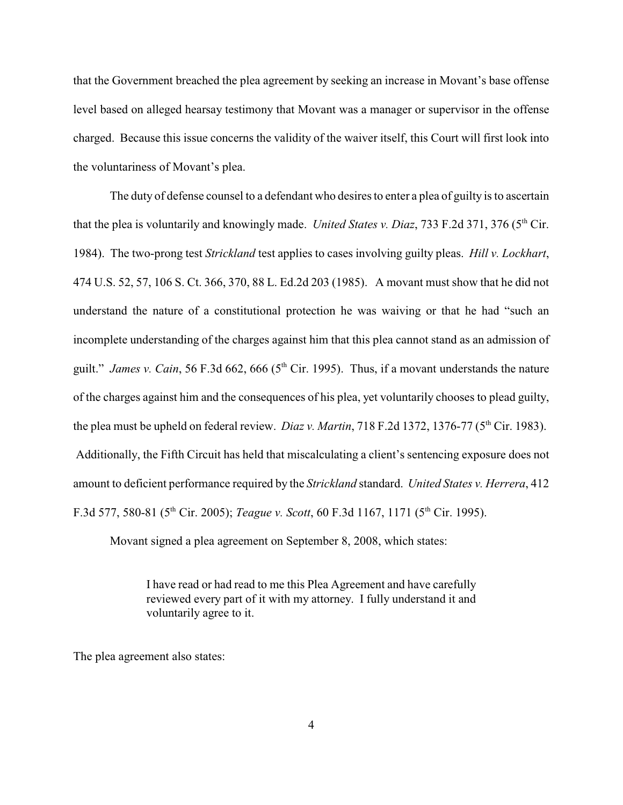that the Government breached the plea agreement by seeking an increase in Movant's base offense level based on alleged hearsay testimony that Movant was a manager or supervisor in the offense charged. Because this issue concerns the validity of the waiver itself, this Court will first look into the voluntariness of Movant's plea.

The duty of defense counsel to a defendant who desires to enter a plea of guilty is to ascertain that the plea is voluntarily and knowingly made. *United States v. Diaz*, 733 F.2d 371, 376 (5<sup>th</sup> Cir. 1984). The two-prong test *Strickland* test applies to cases involving guilty pleas. *Hill v. Lockhart*, 474 U.S. 52, 57, 106 S. Ct. 366, 370, 88 L. Ed.2d 203 (1985). A movant must show that he did not understand the nature of a constitutional protection he was waiving or that he had "such an incomplete understanding of the charges against him that this plea cannot stand as an admission of guilt." *James v. Cain*, 56 F.3d 662, 666 (5<sup>th</sup> Cir. 1995). Thus, if a movant understands the nature of the charges against him and the consequences of his plea, yet voluntarily chooses to plead guilty, the plea must be upheld on federal review. *Diaz v. Martin*, 718 F.2d 1372, 1376-77 ( $5<sup>th</sup>$  Cir. 1983). Additionally, the Fifth Circuit has held that miscalculating a client's sentencing exposure does not amount to deficient performance required by the *Strickland* standard. *United States v. Herrera*, 412 F.3d 577, 580-81 (5<sup>th</sup> Cir. 2005); *Teague v. Scott*, 60 F.3d 1167, 1171 (5<sup>th</sup> Cir. 1995).

Movant signed a plea agreement on September 8, 2008, which states:

I have read or had read to me this Plea Agreement and have carefully reviewed every part of it with my attorney. I fully understand it and voluntarily agree to it.

The plea agreement also states: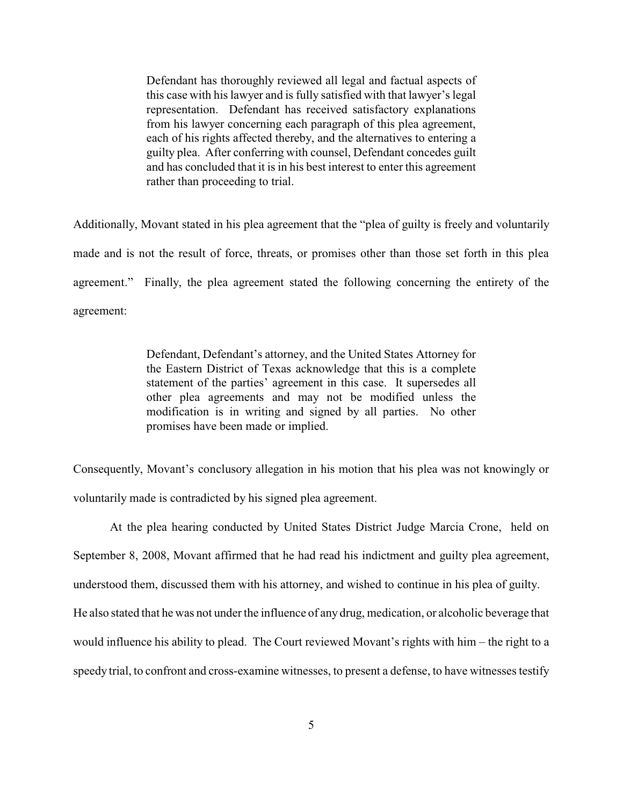Defendant has thoroughly reviewed all legal and factual aspects of this case with his lawyer and is fully satisfied with that lawyer's legal representation. Defendant has received satisfactory explanations from his lawyer concerning each paragraph of this plea agreement, each of his rights affected thereby, and the alternatives to entering a guilty plea. After conferring with counsel, Defendant concedes guilt and has concluded that it is in his best interest to enter this agreement rather than proceeding to trial.

Additionally, Movant stated in his plea agreement that the "plea of guilty is freely and voluntarily made and is not the result of force, threats, or promises other than those set forth in this plea agreement." Finally, the plea agreement stated the following concerning the entirety of the agreement:

> Defendant, Defendant's attorney, and the United States Attorney for the Eastern District of Texas acknowledge that this is a complete statement of the parties' agreement in this case. It supersedes all other plea agreements and may not be modified unless the modification is in writing and signed by all parties. No other promises have been made or implied.

Consequently, Movant's conclusory allegation in his motion that his plea was not knowingly or voluntarily made is contradicted by his signed plea agreement.

At the plea hearing conducted by United States District Judge Marcia Crone, held on September 8, 2008, Movant affirmed that he had read his indictment and guilty plea agreement, understood them, discussed them with his attorney, and wished to continue in his plea of guilty. He also stated that he was not under the influence of any drug, medication, or alcoholic beverage that would influence his ability to plead. The Court reviewed Movant's rights with him – the right to a speedy trial, to confront and cross-examine witnesses, to present a defense, to have witnesses testify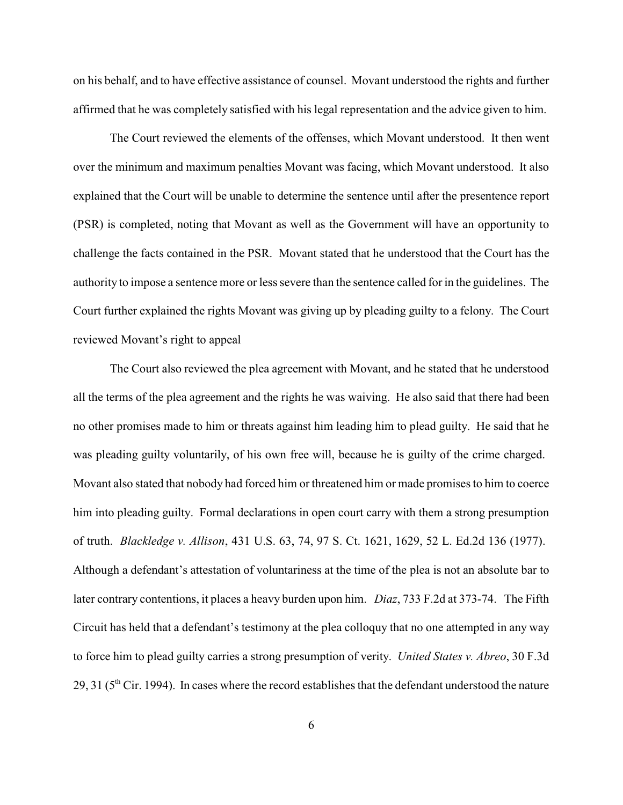on his behalf, and to have effective assistance of counsel. Movant understood the rights and further affirmed that he was completely satisfied with his legal representation and the advice given to him.

The Court reviewed the elements of the offenses, which Movant understood. It then went over the minimum and maximum penalties Movant was facing, which Movant understood. It also explained that the Court will be unable to determine the sentence until after the presentence report (PSR) is completed, noting that Movant as well as the Government will have an opportunity to challenge the facts contained in the PSR. Movant stated that he understood that the Court has the authority to impose a sentence more or less severe than the sentence called for in the guidelines. The Court further explained the rights Movant was giving up by pleading guilty to a felony. The Court reviewed Movant's right to appeal

The Court also reviewed the plea agreement with Movant, and he stated that he understood all the terms of the plea agreement and the rights he was waiving. He also said that there had been no other promises made to him or threats against him leading him to plead guilty. He said that he was pleading guilty voluntarily, of his own free will, because he is guilty of the crime charged. Movant also stated that nobody had forced him or threatened him or made promises to him to coerce him into pleading guilty. Formal declarations in open court carry with them a strong presumption of truth. *Blackledge v. Allison*, 431 U.S. 63, 74, 97 S. Ct. 1621, 1629, 52 L. Ed.2d 136 (1977). Although a defendant's attestation of voluntariness at the time of the plea is not an absolute bar to later contrary contentions, it places a heavy burden upon him. *Diaz*, 733 F.2d at 373-74. The Fifth Circuit has held that a defendant's testimony at the plea colloquy that no one attempted in any way to force him to plead guilty carries a strong presumption of verity. *United States v. Abreo*, 30 F.3d 29, 31 ( $5<sup>th</sup>$  Cir. 1994). In cases where the record establishes that the defendant understood the nature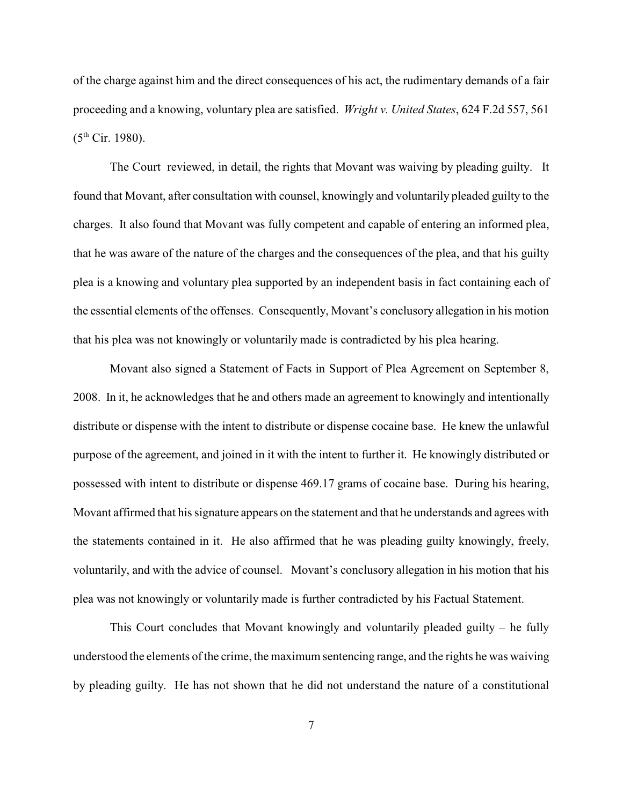of the charge against him and the direct consequences of his act, the rudimentary demands of a fair proceeding and a knowing, voluntary plea are satisfied. *Wright v. United States*, 624 F.2d 557, 561  $(5^{th}$  Cir. 1980).

 The Court reviewed, in detail, the rights that Movant was waiving by pleading guilty. It found that Movant, after consultation with counsel, knowingly and voluntarily pleaded guilty to the charges. It also found that Movant was fully competent and capable of entering an informed plea, that he was aware of the nature of the charges and the consequences of the plea, and that his guilty plea is a knowing and voluntary plea supported by an independent basis in fact containing each of the essential elements of the offenses. Consequently, Movant's conclusory allegation in his motion that his plea was not knowingly or voluntarily made is contradicted by his plea hearing.

Movant also signed a Statement of Facts in Support of Plea Agreement on September 8, 2008. In it, he acknowledges that he and others made an agreement to knowingly and intentionally distribute or dispense with the intent to distribute or dispense cocaine base. He knew the unlawful purpose of the agreement, and joined in it with the intent to further it. He knowingly distributed or possessed with intent to distribute or dispense 469.17 grams of cocaine base. During his hearing, Movant affirmed that his signature appears on the statement and that he understands and agrees with the statements contained in it. He also affirmed that he was pleading guilty knowingly, freely, voluntarily, and with the advice of counsel. Movant's conclusory allegation in his motion that his plea was not knowingly or voluntarily made is further contradicted by his Factual Statement.

This Court concludes that Movant knowingly and voluntarily pleaded guilty – he fully understood the elements of the crime, the maximum sentencing range, and the rights he was waiving by pleading guilty. He has not shown that he did not understand the nature of a constitutional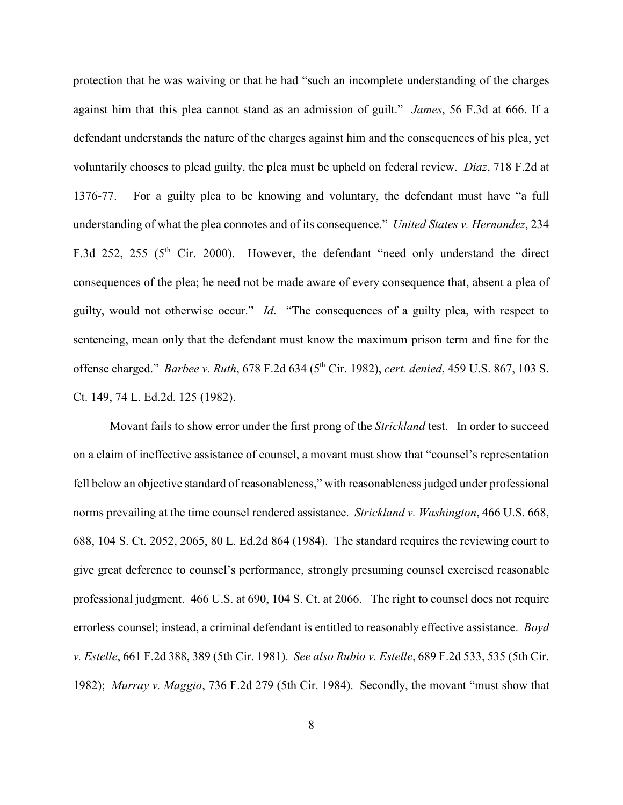protection that he was waiving or that he had "such an incomplete understanding of the charges against him that this plea cannot stand as an admission of guilt." *James*, 56 F.3d at 666. If a defendant understands the nature of the charges against him and the consequences of his plea, yet voluntarily chooses to plead guilty, the plea must be upheld on federal review. *Diaz*, 718 F.2d at 1376-77. For a guilty plea to be knowing and voluntary, the defendant must have "a full understanding of what the plea connotes and of its consequence." *United States v. Hernandez*, 234 F.3d 252, 255 ( $5<sup>th</sup>$  Cir. 2000). However, the defendant "need only understand the direct consequences of the plea; he need not be made aware of every consequence that, absent a plea of guilty, would not otherwise occur." *Id*. "The consequences of a guilty plea, with respect to sentencing, mean only that the defendant must know the maximum prison term and fine for the offense charged." *Barbee v. Ruth*, 678 F.2d 634 (5<sup>th</sup> Cir. 1982), *cert. denied*, 459 U.S. 867, 103 S. Ct. 149, 74 L. Ed.2d. 125 (1982).

Movant fails to show error under the first prong of the *Strickland* test. In order to succeed on a claim of ineffective assistance of counsel, a movant must show that "counsel's representation fell below an objective standard of reasonableness," with reasonableness judged under professional norms prevailing at the time counsel rendered assistance. *Strickland v. Washington*, 466 U.S. 668, 688, 104 S. Ct. 2052, 2065, 80 L. Ed.2d 864 (1984). The standard requires the reviewing court to give great deference to counsel's performance, strongly presuming counsel exercised reasonable professional judgment. 466 U.S. at 690, 104 S. Ct. at 2066. The right to counsel does not require errorless counsel; instead, a criminal defendant is entitled to reasonably effective assistance. *Boyd v. Estelle*, 661 F.2d 388, 389 (5th Cir. 1981). *See also Rubio v. Estelle*, 689 F.2d 533, 535 (5th Cir. 1982); *Murray v. Maggio*, 736 F.2d 279 (5th Cir. 1984). Secondly, the movant "must show that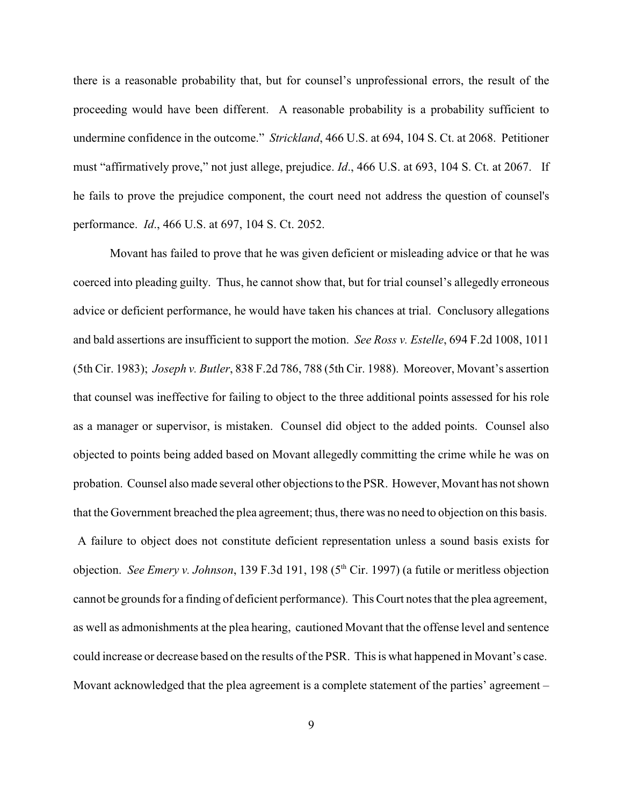there is a reasonable probability that, but for counsel's unprofessional errors, the result of the proceeding would have been different. A reasonable probability is a probability sufficient to undermine confidence in the outcome." *Strickland*, 466 U.S. at 694, 104 S. Ct. at 2068. Petitioner must "affirmatively prove," not just allege, prejudice. *Id*., 466 U.S. at 693, 104 S. Ct. at 2067. If he fails to prove the prejudice component, the court need not address the question of counsel's performance. *Id*., 466 U.S. at 697, 104 S. Ct. 2052.

Movant has failed to prove that he was given deficient or misleading advice or that he was coerced into pleading guilty. Thus, he cannot show that, but for trial counsel's allegedly erroneous advice or deficient performance, he would have taken his chances at trial. Conclusory allegations and bald assertions are insufficient to support the motion. *See Ross v. Estelle*, 694 F.2d 1008, 1011 (5th Cir. 1983); *Joseph v. Butler*, 838 F.2d 786, 788 (5th Cir. 1988). Moreover, Movant's assertion that counsel was ineffective for failing to object to the three additional points assessed for his role as a manager or supervisor, is mistaken. Counsel did object to the added points. Counsel also objected to points being added based on Movant allegedly committing the crime while he was on probation. Counsel also made several other objections to the PSR. However, Movant has not shown that the Government breached the plea agreement; thus, there was no need to objection on this basis.

 A failure to object does not constitute deficient representation unless a sound basis exists for objection. *See Emery v. Johnson*, 139 F.3d 191, 198 (5<sup>th</sup> Cir. 1997) (a futile or meritless objection cannot be grounds for a finding of deficient performance). This Court notes that the plea agreement, as well as admonishments at the plea hearing, cautioned Movant that the offense level and sentence could increase or decrease based on the results of the PSR. This is what happened in Movant's case. Movant acknowledged that the plea agreement is a complete statement of the parties' agreement –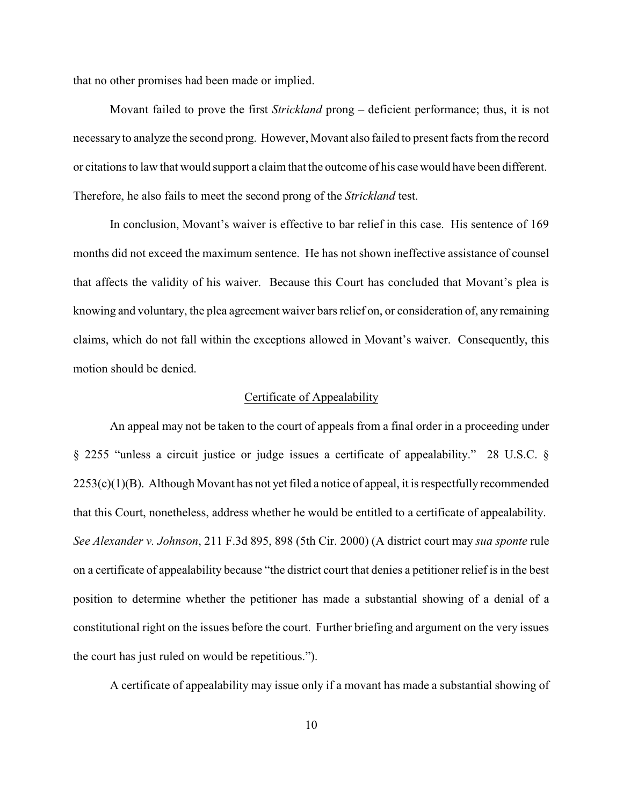that no other promises had been made or implied.

Movant failed to prove the first *Strickland* prong – deficient performance; thus, it is not necessary to analyze the second prong. However, Movant also failed to present facts from the record or citations to law that would support a claim that the outcome of his case would have been different. Therefore, he also fails to meet the second prong of the *Strickland* test.

In conclusion, Movant's waiver is effective to bar relief in this case. His sentence of 169 months did not exceed the maximum sentence. He has not shown ineffective assistance of counsel that affects the validity of his waiver. Because this Court has concluded that Movant's plea is knowing and voluntary, the plea agreement waiver bars relief on, or consideration of, any remaining claims, which do not fall within the exceptions allowed in Movant's waiver. Consequently, this motion should be denied.

### Certificate of Appealability

An appeal may not be taken to the court of appeals from a final order in a proceeding under § 2255 "unless a circuit justice or judge issues a certificate of appealability." 28 U.S.C. §  $2253(c)(1)(B)$ . Although Movant has not yet filed a notice of appeal, it is respectfully recommended that this Court, nonetheless, address whether he would be entitled to a certificate of appealability. *See Alexander v. Johnson*, 211 F.3d 895, 898 (5th Cir. 2000) (A district court may *sua sponte* rule on a certificate of appealability because "the district court that denies a petitioner relief is in the best position to determine whether the petitioner has made a substantial showing of a denial of a constitutional right on the issues before the court. Further briefing and argument on the very issues the court has just ruled on would be repetitious.").

A certificate of appealability may issue only if a movant has made a substantial showing of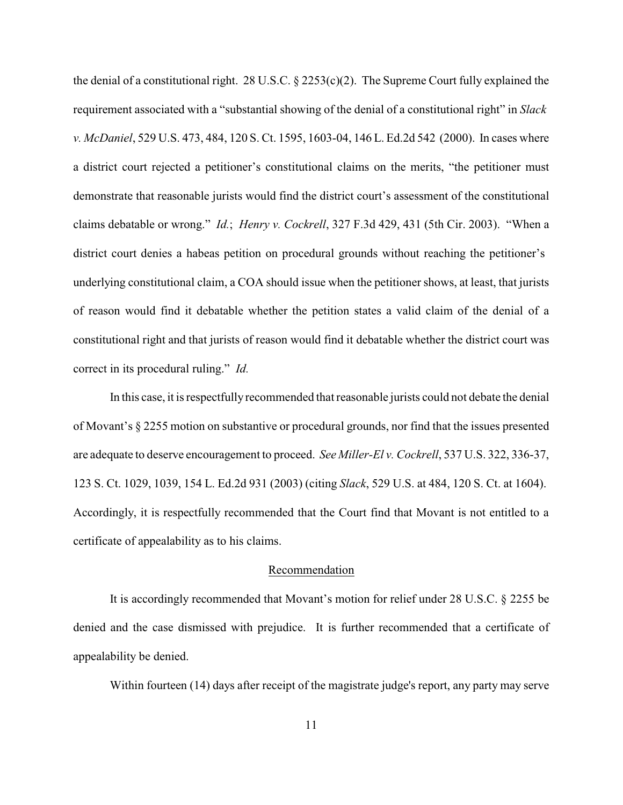the denial of a constitutional right. 28 U.S.C. § 2253(c)(2). The Supreme Court fully explained the requirement associated with a "substantial showing of the denial of a constitutional right" in *Slack v. McDaniel*, 529 U.S. 473, 484, 120 S. Ct. 1595, 1603-04, 146 L. Ed.2d 542 (2000). In cases where a district court rejected a petitioner's constitutional claims on the merits, "the petitioner must demonstrate that reasonable jurists would find the district court's assessment of the constitutional claims debatable or wrong." *Id.*; *Henry v. Cockrell*, 327 F.3d 429, 431 (5th Cir. 2003). "When a district court denies a habeas petition on procedural grounds without reaching the petitioner's underlying constitutional claim, a COA should issue when the petitioner shows, at least, that jurists of reason would find it debatable whether the petition states a valid claim of the denial of a constitutional right and that jurists of reason would find it debatable whether the district court was correct in its procedural ruling." *Id.*

In this case, it is respectfully recommended that reasonable jurists could not debate the denial of Movant's § 2255 motion on substantive or procedural grounds, nor find that the issues presented are adequate to deserve encouragement to proceed. *See Miller-El v. Cockrell*, 537 U.S. 322, 336-37, 123 S. Ct. 1029, 1039, 154 L. Ed.2d 931 (2003) (citing *Slack*, 529 U.S. at 484, 120 S. Ct. at 1604). Accordingly, it is respectfully recommended that the Court find that Movant is not entitled to a certificate of appealability as to his claims.

#### Recommendation

It is accordingly recommended that Movant's motion for relief under 28 U.S.C. § 2255 be denied and the case dismissed with prejudice. It is further recommended that a certificate of appealability be denied.

Within fourteen (14) days after receipt of the magistrate judge's report, any party may serve